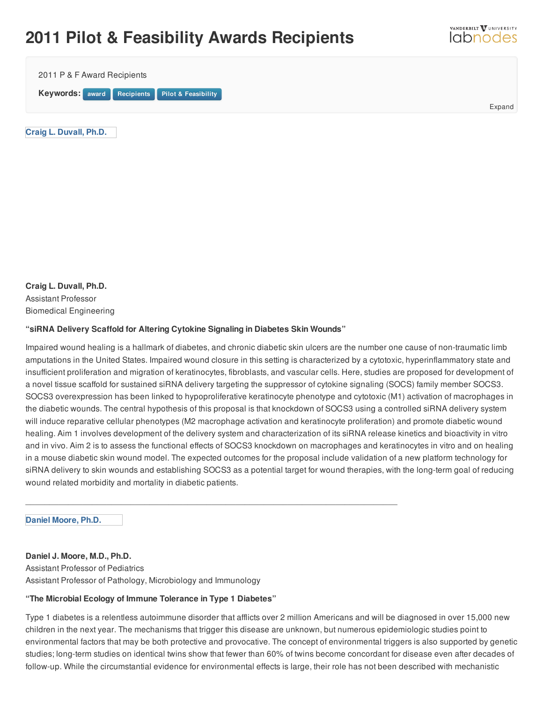## **2011 Pilot & Feasibility Awards Recipients**

| 2011 P & F Award Recipients                    |  |  |        |
|------------------------------------------------|--|--|--------|
| Keywords: award Recipients Pilot & Feasibility |  |  | Expand |
| Craig L. Duvall, Ph.D.                         |  |  |        |

VANDERBILT VUNIVERSITY *<u>Idbnodes</u>* 

**Craig L. Duvall, Ph.D.** Assistant Professor Biomedical Engineering

## **"siRNA Delivery Scaffold for Altering Cytokine Signaling in Diabetes Skin Wounds"**

\_\_\_\_\_\_\_\_\_\_\_\_\_\_\_\_\_\_\_\_\_\_\_\_\_\_\_\_\_\_\_\_\_\_\_\_\_\_\_\_\_\_\_\_\_\_\_\_\_\_\_\_\_\_\_\_\_\_\_\_\_\_\_\_\_\_\_\_\_\_\_\_\_\_\_\_\_\_

Impaired wound healing is a hallmark of diabetes, and chronic diabetic skin ulcers are the number one cause of non-traumatic limb amputations in the United States. Impaired wound closure in this setting is characterized by a cytotoxic, hyperinflammatory state and insufficient proliferation and migration of keratinocytes, fibroblasts, and vascular cells. Here, studies are proposed for development of a novel tissue scaffold for sustained siRNA delivery targeting the suppressor of cytokine signaling (SOCS) family member SOCS3. SOCS3 overexpression has been linked to hypoproliferative keratinocyte phenotype and cytotoxic (M1) activation of macrophages in the diabetic wounds. The central hypothesis of this proposal is that knockdown of SOCS3 using a controlled siRNA delivery system will induce reparative cellular phenotypes (M2 macrophage activation and keratinocyte proliferation) and promote diabetic wound healing. Aim 1 involves development of the delivery system and characterization of its siRNA release kinetics and bioactivity in vitro and in vivo. Aim 2 is to assess the functional effects of SOCS3 knockdown on macrophages and keratinocytes in vitro and on healing in a mouse diabetic skin wound model. The expected outcomes for the proposal include validation of a new platform technology for siRNA delivery to skin wounds and establishing SOCS3 as a potential target for wound therapies, with the long-term goal of reducing wound related morbidity and mortality in diabetic patients.

**Daniel [Moore,](http://labnodes.vanderbilt.edu/member/profile/id/10713) Ph.D.**

**Daniel J. Moore, M.D., Ph.D.**

Assistant Professor of Pediatrics Assistant Professor of Pathology, Microbiology and Immunology

## **"The Microbial Ecology of Immune Tolerance in Type 1 Diabetes"**

Type 1 diabetes is a relentless autoimmune disorder that afflicts over 2 million Americans and will be diagnosed in over 15,000 new children in the next year. The mechanisms that trigger this disease are unknown, but numerous epidemiologic studies point to environmental factors that may be both protective and provocative. The concept of environmental triggers is also supported by genetic studies; long-term studies on identical twins show that fewer than 60% of twins become concordant for disease even after decades of follow-up. While the circumstantial evidence for environmental effects is large, their role has not been described with mechanistic